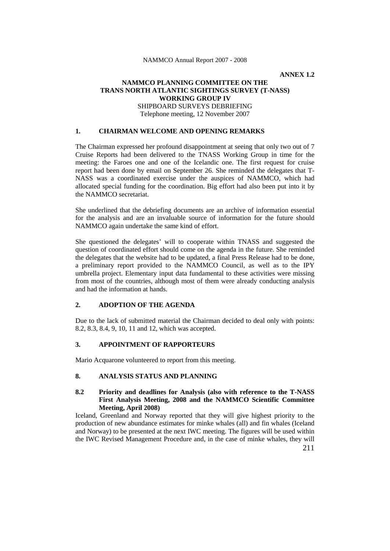**ANNEX 1.2**

## **NAMMCO PLANNING COMMITTEE ON THE TRANS NORTH ATLANTIC SIGHTINGS SURVEY (T-NASS) WORKING GROUP IV** SHIPBOARD SURVEYS DEBRIEFING Telephone meeting, 12 November 2007

### **1. CHAIRMAN WELCOME AND OPENING REMARKS**

The Chairman expressed her profound disappointment at seeing that only two out of 7 Cruise Reports had been delivered to the TNASS Working Group in time for the meeting: the Faroes one and one of the Icelandic one. The first request for cruise report had been done by email on September 26. She reminded the delegates that T-NASS was a coordinated exercise under the auspices of NAMMCO, which had allocated special funding for the coordination. Big effort had also been put into it by the NAMMCO secretariat.

She underlined that the debriefing documents are an archive of information essential for the analysis and are an invaluable source of information for the future should NAMMCO again undertake the same kind of effort.

She questioned the delegates' will to cooperate within TNASS and suggested the question of coordinated effort should come on the agenda in the future. She reminded the delegates that the website had to be updated, a final Press Release had to be done, a preliminary report provided to the NAMMCO Council, as well as to the IPY umbrella project. Elementary input data fundamental to these activities were missing from most of the countries, although most of them were already conducting analysis and had the information at hands.

# **2. ADOPTION OF THE AGENDA**

Due to the lack of submitted material the Chairman decided to deal only with points: 8.2, 8.3, 8.4, 9, 10, 11 and 12, which was accepted.

### **3. APPOINTMENT OF RAPPORTEURS**

Mario Acquarone volunteered to report from this meeting.

## **8. ANALYSIS STATUS AND PLANNING**

# **8.2 Priority and deadlines for Analysis (also with reference to the T-NASS First Analysis Meeting, 2008 and the NAMMCO Scientific Committee Meeting, April 2008)**

Iceland, Greenland and Norway reported that they will give highest priority to the production of new abundance estimates for minke whales (all) and fin whales (Iceland and Norway) to be presented at the next IWC meeting. The figures will be used within the IWC Revised Management Procedure and, in the case of minke whales, they will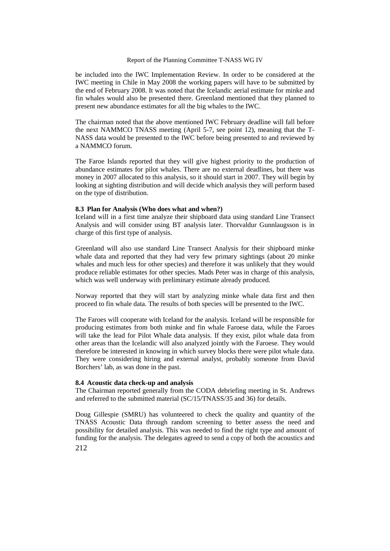#### Report of the Planning Committee T-NASS WG IV

be included into the IWC Implementation Review. In order to be considered at the IWC meeting in Chile in May 2008 the working papers will have to be submitted by the end of February 2008. It was noted that the Icelandic aerial estimate for minke and fin whales would also be presented there. Greenland mentioned that they planned to present new abundance estimates for all the big whales to the IWC.

The chairman noted that the above mentioned IWC February deadline will fall before the next NAMMCO TNASS meeting (April 5-7, see point 12), meaning that the T-NASS data would be presented to the IWC before being presented to and reviewed by a NAMMCO forum.

The Faroe Islands reported that they will give highest priority to the production of abundance estimates for pilot whales. There are no external deadlines, but there was money in 2007 allocated to this analysis, so it should start in 2007. They will begin by looking at sighting distribution and will decide which analysis they will perform based on the type of distribution.

#### **8.3 Plan for Analysis (Who does what and when?)**

Iceland will in a first time analyze their shipboard data using standard Line Transect Analysis and will consider using BT analysis later. Thorvaldur Gunnlaugsson is in charge of this first type of analysis.

Greenland will also use standard Line Transect Analysis for their shipboard minke whale data and reported that they had very few primary sightings (about 20 minke whales and much less for other species) and therefore it was unlikely that they would produce reliable estimates for other species. Mads Peter was in charge of this analysis, which was well underway with preliminary estimate already produced.

Norway reported that they will start by analyzing minke whale data first and then proceed to fin whale data. The results of both species will be presented to the IWC.

The Faroes will cooperate with Iceland for the analysis. Iceland will be responsible for producing estimates from both minke and fin whale Faroese data, while the Faroes will take the lead for Pilot Whale data analysis. If they exist, pilot whale data from other areas than the Icelandic will also analyzed jointly with the Faroese. They would therefore be interested in knowing in which survey blocks there were pilot whale data. They were considering hiring and external analyst, probably someone from David Borchers' lab, as was done in the past.

### **8.4 Acoustic data check-up and analysis**

The Chairman reported generally from the CODA debriefing meeting in St. Andrews and referred to the submitted material (SC/15/TNASS/35 and 36) for details.

212 Doug Gillespie (SMRU) has volunteered to check the quality and quantity of the TNASS Acoustic Data through random screening to better assess the need and possibility for detailed analysis. This was needed to find the right type and amount of funding for the analysis. The delegates agreed to send a copy of both the acoustics and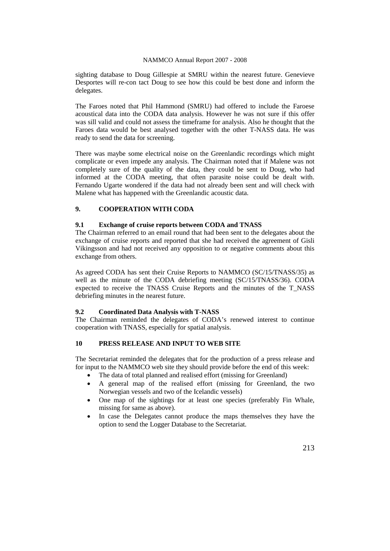sighting database to Doug Gillespie at SMRU within the nearest future. Genevieve Desportes will re-con tact Doug to see how this could be best done and inform the delegates.

The Faroes noted that Phil Hammond (SMRU) had offered to include the Faroese acoustical data into the CODA data analysis. However he was not sure if this offer was sill valid and could not assess the timeframe for analysis. Also he thought that the Faroes data would be best analysed together with the other T-NASS data. He was ready to send the data for screening.

There was maybe some electrical noise on the Greenlandic recordings which might complicate or even impede any analysis. The Chairman noted that if Malene was not completely sure of the quality of the data, they could be sent to Doug, who had informed at the CODA meeting, that often parasite noise could be dealt with. Fernando Ugarte wondered if the data had not already been sent and will check with Malene what has happened with the Greenlandic acoustic data.

# **9. COOPERATION WITH CODA**

### **9.1 Exchange of cruise reports between CODA and TNASS**

The Chairman referred to an email round that had been sent to the delegates about the exchange of cruise reports and reported that she had received the agreement of Gisli Vikingsson and had not received any opposition to or negative comments about this exchange from others.

As agreed CODA has sent their Cruise Reports to NAMMCO (SC/15/TNASS/35) as well as the minute of the CODA debriefing meeting (SC/15/TNASS/36). CODA expected to receive the TNASS Cruise Reports and the minutes of the T\_NASS debriefing minutes in the nearest future.

# **9.2 Coordinated Data Analysis with T-NASS**

The Chairman reminded the delegates of CODA's renewed interest to continue cooperation with TNASS, especially for spatial analysis.

# **10 PRESS RELEASE AND INPUT TO WEB SITE**

The Secretariat reminded the delegates that for the production of a press release and for input to the NAMMCO web site they should provide before the end of this week:

- The data of total planned and realised effort (missing for Greenland)
- A general map of the realised effort (missing for Greenland, the two Norwegian vessels and two of the Icelandic vessels)
- One map of the sightings for at least one species (preferably Fin Whale, missing for same as above).
- In case the Delegates cannot produce the maps themselves they have the option to send the Logger Database to the Secretariat.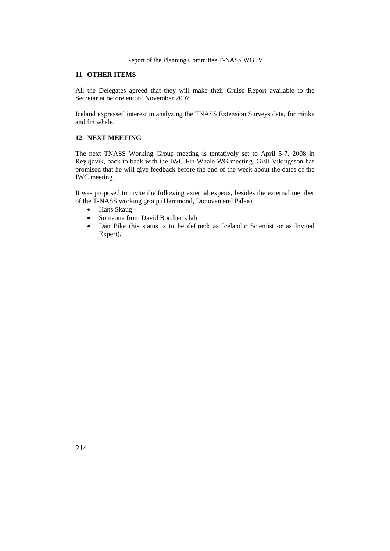#### Report of the Planning Committee T-NASS WG IV

### **11 OTHER ITEMS**

All the Delegates agreed that they will make their Cruise Report available to the Secretariat before end of November 2007.

Iceland expressed interest in analyzing the TNASS Extension Surveys data, for minke and fin whale.

## **12 NEXT MEETING**

The next TNASS Working Group meeting is tentatively set to April 5-7, 2008 in Reykjavik, back to back with the IWC Fin Whale WG meeting. Gisli Vikingsson has promised that he will give feedback before the end of the week about the dates of the IWC meeting.

It was proposed to invite the following external experts, besides the external member of the T-NASS working group (Hammond, Donovan and Palka)

- Hans Skaug
- Someone from David Borcher's lab
- Dan Pike (his status is to be defined: as Icelandic Scientist or as Invited Expert).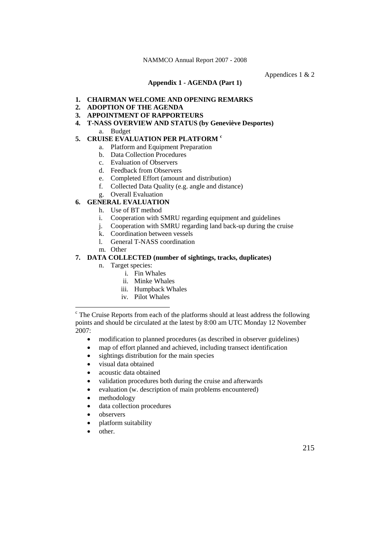Appendices 1 & 2

**Appendix 1 - AGENDA (Part 1)**

#### **1. CHAIRMAN WELCOME AND OPENING REMARKS**

- **2. ADOPTION OF THE AGENDA**
- **3. APPOINTMENT OF RAPPORTEURS**
- **4. T-NASS OVERVIEW AND STATUS (by Geneviève Desportes)** a. Budget

# **5. CRUISE EVALUATION PER PLATFORM [c](#page-4-0)**

- a. Platform and Equipment Preparation
- b. Data Collection Procedures
- c. Evaluation of Observers
- d. Feedback from Observers
- e. Completed Effort (amount and distribution)
- f. Collected Data Quality (e.g. angle and distance)
- g. Overall Evaluation

# **6. GENERAL EVALUATION**

- h. Use of BT method
- i. Cooperation with SMRU regarding equipment and guidelines
- j. Cooperation with SMRU regarding land back-up during the cruise
- k. Coordination between vessels
- l. General T-NASS coordination
- m. Other

# **7. DATA COLLECTED (number of sightings, tracks, duplicates)**

- n. Target species:
	- i. Fin Whales
	- ii. Minke Whales
	- iii. Humpback Whales
	- iv. Pilot Whales

- modification to planned procedures (as described in observer guidelines)
- map of effort planned and achieved, including transect identification
- sightings distribution for the main species
- visual data obtained
- acoustic data obtained
- validation procedures both during the cruise and afterwards
- evaluation (w. description of main problems encountered)
- methodology
- data collection procedures
- observers
- platform suitability
- other.

<span id="page-4-0"></span> $\epsilon$  The Cruise Reports from each of the platforms should at least address the following points and should be circulated at the latest by 8:00 am UTC Monday 12 November 2007: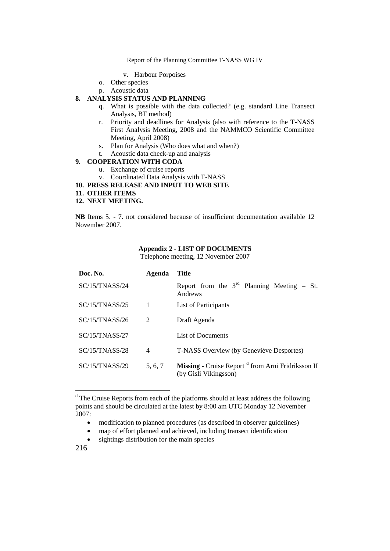Report of the Planning Committee T-NASS WG IV

- v. Harbour Porpoises
- o. Other species
- p. Acoustic data

# **8. ANALYSIS STATUS AND PLANNING**

- q. What is possible with the data collected? (e.g. standard Line Transect Analysis, BT method)
- r. Priority and deadlines for Analysis (also with reference to the T-NASS First Analysis Meeting, 2008 and the NAMMCO Scientific Committee Meeting, April 2008)
- s. Plan for Analysis (Who does what and when?)
- t. Acoustic data check-up and analysis

### **9. COOPERATION WITH CODA**

- u. Exchange of cruise reports
- v. Coordinated Data Analysis with T-NASS

**10. PRESS RELEASE AND INPUT TO WEB SITE**

**11. OTHER ITEMS**

# **12. NEXT MEETING.**

**NB** Items 5. - 7. not considered because of insufficient documentation available 12 November 2007.

# **Appendix 2 - LIST OF DOCUMENTS**

Telephone meeting, 12 November 2007

| Doc. No.       | Agenda  | <b>Title</b>                                                                           |
|----------------|---------|----------------------------------------------------------------------------------------|
| SC/15/TNASS/24 |         | Report from the $3^{rd}$ Planning Meeting – St.<br>Andrews                             |
| SC/15/TNASS/25 | 1       | List of Participants                                                                   |
| SC/15/TNASS/26 | 2       | Draft Agenda                                                                           |
| SC/15/TNASS/27 |         | List of Documents                                                                      |
| SC/15/TNASS/28 | 4       | T-NASS Overview (by Geneviève Desportes)                                               |
| SC/15/TNASS/29 | 5, 6, 7 | Missing - Cruise Report <sup>d</sup> from Arni Fridriksson II<br>(by Gisli Víkingsson) |

<span id="page-5-0"></span><sup>&</sup>lt;sup>d</sup> The Cruise Reports from each of the platforms should at least address the following points and should be circulated at the latest by 8:00 am UTC Monday 12 November 2007:

- modification to planned procedures (as described in observer guidelines)
- map of effort planned and achieved, including transect identification
- sightings distribution for the main species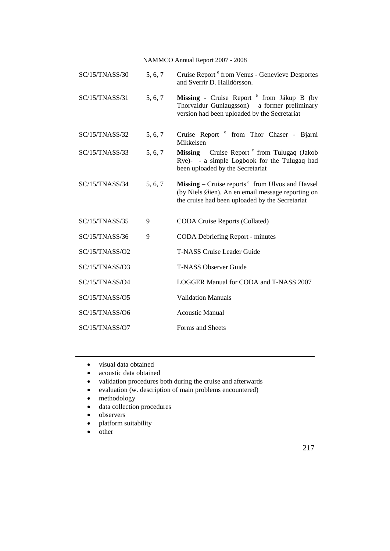| SC/15/TNASS/30 | 5, 6, 7 | Cruise Report <sup>e</sup> from Venus - Genevieve Desportes<br>and Sverrir D. Halldórsson.                                                                                    |
|----------------|---------|-------------------------------------------------------------------------------------------------------------------------------------------------------------------------------|
| SC/15/TNASS/31 | 5, 6, 7 | Missing - Cruise Report <sup>e</sup> from Jákup B (by<br>Thorvaldur Gunlaugsson) $-$ a former preliminary<br>version had been uploaded by the Secretariat                     |
| SC/15/TNASS/32 | 5, 6, 7 | Cruise Report <sup>e</sup> from Thor Chaser - Bjarni<br>Mikkelsen                                                                                                             |
| SC/15/TNASS/33 | 5, 6, 7 | <b>Missing</b> – Cruise Report $e$ from Tulugaq (Jakob<br>Rye)- - a simple Logbook for the Tulugaq had<br>been uploaded by the Secretariat                                    |
| SC/15/TNASS/34 | 5, 6, 7 | <b>Missing</b> – Cruise reports $e^{\text{th}}$ from Ulvos and Havsel<br>(by Niels Øien). An en email message reporting on<br>the cruise had been uploaded by the Secretariat |
| SC/15/TNASS/35 | 9       | <b>CODA Cruise Reports (Collated)</b>                                                                                                                                         |
| SC/15/TNASS/36 | 9       | <b>CODA Debriefing Report - minutes</b>                                                                                                                                       |
| SC/15/TNASS/O2 |         | <b>T-NASS Cruise Leader Guide</b>                                                                                                                                             |
| SC/15/TNASS/O3 |         | <b>T-NASS Observer Guide</b>                                                                                                                                                  |
| SC/15/TNASS/O4 |         | LOGGER Manual for CODA and T-NASS 2007                                                                                                                                        |
| SC/15/TNASS/O5 |         | <b>Validation Manuals</b>                                                                                                                                                     |
| SC/15/TNASS/O6 |         | <b>Acoustic Manual</b>                                                                                                                                                        |
| SC/15/TNASS/O7 |         | Forms and Sheets                                                                                                                                                              |
|                |         |                                                                                                                                                                               |

- visual data obtained
- acoustic data obtained
- validation procedures both during the cruise and afterwards
- evaluation (w. description of main problems encountered)
- methodology
- data collection procedures
- observers
- platform suitability
- other

 $\overline{a}$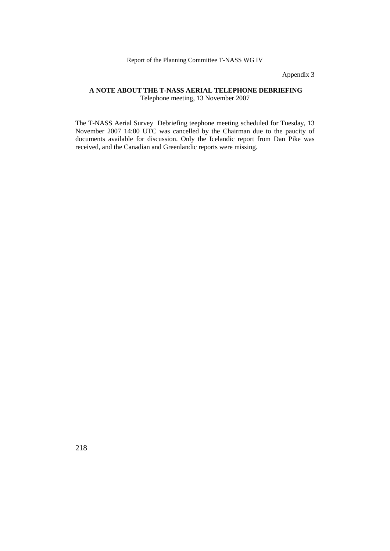Appendix 3

# **A NOTE ABOUT THE T-NASS AERIAL TELEPHONE DEBRIEFING** Telephone meeting, 13 November 2007

The T-NASS Aerial Survey Debriefing teephone meeting scheduled for Tuesday, 13 November 2007 14:00 UTC was cancelled by the Chairman due to the paucity of documents available for discussion. Only the Icelandic report from Dan Pike was received, and the Canadian and Greenlandic reports were missing.